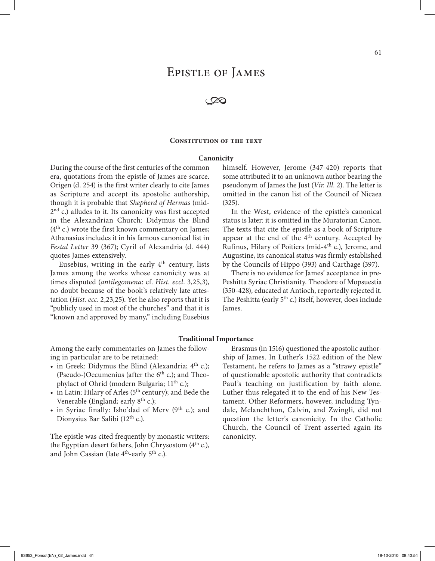# Epistle of James

 $\infty$ 

# **CONSTITUTION OF THE TEXT**

# **Canonicity**

During the course of the first centuries of the common era, quotations from the epistle of James are scarce. Origen (d. 254) is the first writer clearly to cite James as Scripture and accept its apostolic authorship, though it is probable that *Shepherd of Hermas* (mid- $2<sup>nd</sup>$  c.) alludes to it. Its canonicity was first accepted in the Alexandrian Church: Didymus the Blind  $(4<sup>th</sup> c.)$  wrote the first known commentary on James; Athanasius includes it in his famous canonical list in *Festal Letter* 39 (367); Cyril of Alexandria (d. 444) quotes James extensively.

Eusebius, writing in the early  $4<sup>th</sup>$  century, lists James among the works whose canonicity was at times disputed (*antilegomena*: cf. *Hist. eccl*. 3,25,3), no doubt because of the book's relatively late attestation (*Hist. ecc*. 2,23,25). Yet he also reports that it is "publicly used in most of the churches" and that it is "known and approved by many," including Eusebius

himself. However, Jerome (347-420) reports that some attributed it to an unknown author bearing the pseudonym of James the Just (*Vir. Ill.* 2). The letter is omitted in the canon list of the Council of Nicaea (325).

In the West, evidence of the epistle's canonical status is later: it is omitted in the Muratorian Canon. The texts that cite the epistle as a book of Scripture appear at the end of the 4<sup>th</sup> century. Accepted by Rufinus, Hilary of Poitiers (mid-4th c.), Jerome, and Augustine, its canonical status was firmly established by the Councils of Hippo (393) and Carthage (397).

There is no evidence for James' acceptance in pre-Peshitta Syriac Christianity. Theodore of Mopsuestia (350-428), educated at Antioch, reportedly rejected it. The Peshitta (early 5<sup>th</sup> c.) itself, however, does include James.

# **Traditional Importance**

Among the early commentaries on James the following in particular are to be retained:

- in Greek: Didymus the Blind (Alexandria;  $4<sup>th</sup>$  c.); (Pseudo-)Oecumenius (after the  $6<sup>th</sup>$  c.); and Theophylact of Ohrid (modern Bulgaria; 11<sup>th</sup> c.);
- in Latin: Hilary of Arles ( $5<sup>th</sup>$  century); and Bede the Venerable (England; early 8<sup>th</sup> c.);
- in Syriac finally: Isho'dad of Merv  $(9<sup>th</sup> c.)$ ; and Dionysius Bar Salibi (12<sup>th</sup> c.).

The epistle was cited frequently by monastic writers: the Egyptian desert fathers, John Chrysostom  $(4<sup>th</sup> c)$ , and John Cassian (late 4th-early 5th c.).

Erasmus (in 1516) questioned the apostolic authorship of James. In Luther's 1522 edition of the New Testament, he refers to James as a "strawy epistle" of questionable apostolic authority that contradicts Paul's teaching on justification by faith alone. Luther thus relegated it to the end of his New Testament. Other Reformers, however, including Tyndale, Melanchthon, Calvin, and Zwingli, did not question the letter's canonicity. In the Catholic Church, the Council of Trent asserted again its canonicity.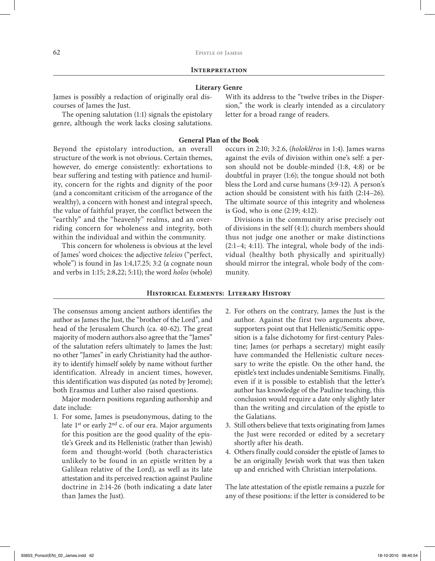# **Literary Genre**

James is possibly a redaction of originally oral discourses of James the Just.

The opening salutation (1:1) signals the epistolary genre, although the work lacks closing salutations. With its address to the "twelve tribes in the Dispersion," the work is clearly intended as a circulatory letter for a broad range of readers.

# **General Plan of the Book**

Beyond the epistolary introduction, an overall structure of the work is not obvious. Certain themes, however, do emerge consistently: exhortations to bear suffering and testing with patience and humility, concern for the rights and dignity of the poor (and a concomitant criticism of the arrogance of the wealthy), a concern with honest and integral speech, the value of faithful prayer, the conflict between the "earthly" and the "heavenly" realms, and an overriding concern for wholeness and integrity, both within the individual and within the community.

This concern for wholeness is obvious at the level of James' word choices: the adjective *teleios* ("perfect, whole") is found in Jas 1:4,17.25; 3:2 (a cognate noun and verbs in 1:15; 2:8,22; 5:11); the word *holos* (whole)

occurs in 2:10; 3:2.6, (*holoklêros* in 1:4). James warns against the evils of division within one's self: a person should not be double-minded (1:8, 4:8) or be doubtful in prayer (1:6); the tongue should not both bless the Lord and curse humans (3:9-12). A person's action should be consistent with his faith (2:14–26). The ultimate source of this integrity and wholeness is God, who is one (2:19; 4:12).

Divisions in the community arise precisely out of divisions in the self (4:1); church members should thus not judge one another or make distinctions (2:1–4; 4:11). The integral, whole body of the individual (healthy both physically and spiritually) should mirror the integral, whole body of the community.

# **Historical Elements: Literary History**

The consensus among ancient authors identifies the author as James the Just, the "brother of the Lord", and head of the Jerusalem Church (ca. 40-62). The great majority of modern authors also agree that the "James" of the salutation refers ultimately to James the Just: no other "James" in early Christianity had the authority to identify himself solely by name without further identification. Already in ancient times, however, this identification was disputed (as noted by Jerome); both Erasmus and Luther also raised questions.

Major modern positions regarding authorship and date include:

- 1. For some, James is pseudonymous, dating to the late  $1<sup>st</sup>$  or early  $2<sup>nd</sup>$  c. of our era. Major arguments for this position are the good quality of the epistle's Greek and its Hellenistic (rather than Jewish) form and thought-world (both characteristics unlikely to be found in an epistle written by a Galilean relative of the Lord), as well as its late attestation and its perceived reaction against Pauline doctrine in 2:14-26 (both indicating a date later than James the Just).
- 2. For others on the contrary, James the Just is the author. Against the first two arguments above, supporters point out that Hellenistic/Semitic opposition is a false dichotomy for first-century Palestine; James (or perhaps a secretary) might easily have commanded the Hellenistic culture necessary to write the epistle. On the other hand, the epistle's text includes undeniable Semitisms. Finally, even if it is possible to establish that the letter's author has knowledge of the Pauline teaching, this conclusion would require a date only slightly later than the writing and circulation of the epistle to the Galatians.
- 3. Still others believe that texts originating from James the Just were recorded or edited by a secretary shortly after his death.
- 4. Others finally could consider the epistle of James to be an originally Jewish work that was then taken up and enriched with Christian interpolations.

The late attestation of the epistle remains a puzzle for any of these positions: if the letter is considered to be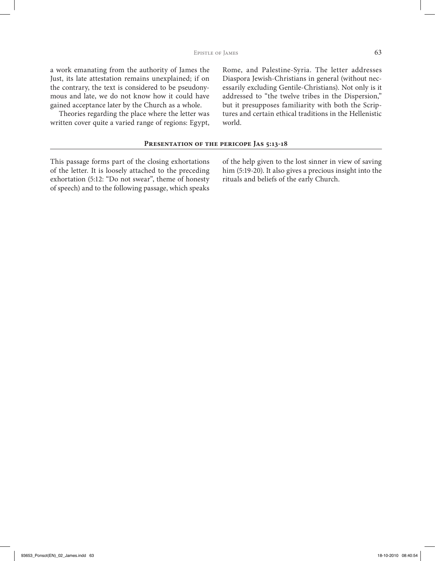a work emanating from the authority of James the Just, its late attestation remains unexplained; if on the contrary, the text is considered to be pseudonymous and late, we do not know how it could have gained acceptance later by the Church as a whole.

Theories regarding the place where the letter was written cover quite a varied range of regions: Egypt,

Rome, and Palestine-Syria. The letter addresses Diaspora Jewish-Christians in general (without necessarily excluding Gentile-Christians). Not only is it addressed to "the twelve tribes in the Dispersion," but it presupposes familiarity with both the Scriptures and certain ethical traditions in the Hellenistic world.

# PRESENTATION OF THE PERICOPE JAS 5:13-18

This passage forms part of the closing exhortations of the letter. It is loosely attached to the preceding exhortation (5:12: "Do not swear", theme of honesty of speech) and to the following passage, which speaks

of the help given to the lost sinner in view of saving him (5:19-20). It also gives a precious insight into the rituals and beliefs of the early Church.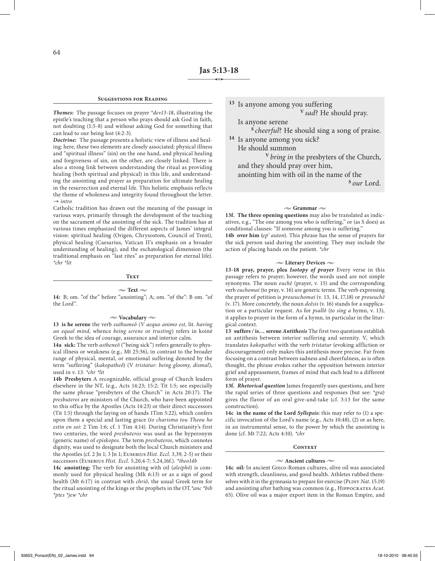#### **Suggestions for Reading**

*Themes:* The passage focuses on prayer \**dev13*-*18*, illustrating the epistle's teaching that a person who prays should ask God in faith, not doubting (1:5-8) and without asking God for something that can lead to our being lost (4:2-3).

*Doctrine:* The passage presents a holistic view of illness and healing: here, these two elements are closely associated: physical illness and "spiritual illness" (sin) on the one hand, and physical healing and forgiveness of sin, on the other, are closely linked. There is also a strong link between understanding the ritual as providing healing (both spiritual and physical) in this life, and understanding the anointing and prayer as preparation for ultimate healing in the resurrection and eternal life. This holistic emphasis reflects the theme of wholeness and integrity found throughout the letter. → *intro*

Catholic tradition has drawn out the meaning of the passage in various ways, primarily through the development of the teaching on the sacrament of the anointing of the sick. The tradition has at various times emphasized the different aspects of James' integral vision: spiritual healing (Origen, Chrysostom, Council of Trent), physical healing (Caesarius, Vatican II's emphasis on a broader understanding of healing), and the eschatological dimension (the traditional emphasis on "last rites" as preparation for eternal life). *\*chr \*lit*

#### **Text**

#### $\sim$  Text  $\sim$

**14:** B; om. "of the" before "anointing"; A; om. "of the": B om. "of the Lord".

#### **• Vocabulary •**

**13 is he serene** the verb *euthumeô (V aequo animo est,* lit. *having an equal mind*, whence *being serene* or *trusting*) refers in koinè Greek to the idea of courage, assurance and interior calm.

**14a sick:** The verb *astheneô* ("being sick") refers generally to physical illness or weakness (e.g., Mt 25:36), in contrast to the broader range of physical, mental, or emotional suffering denoted by the term "suffering" (*kakopatheô*) (V *tristatur: being gloomy, dismal*), used in v. 13. *\*chr \*lit*

**14b Presbyters** A recognizable, official group of Church leaders elsewhere in the NT, (e.g., Acts 14:23; 15:2; Tit 1:5; see especially the same phrase "presbyters of the Church" in Acts 20:17). The *presbuteroi* are ministers of the Church, who have been appointed to this office by the Apostles (Acts 14:23) or their direct successors (Tit 1:5) through the laying on of hands 1Tim 5:22), which confers upon them a special and lasting grace (*to charisma tou Theou ho estin en soi*: 2 Tim 1:6; cf. 1 Tim 4:14). During Christianity's first two centuries, the word *presbuteros* was used as the hyperonym (generic name) of *episkopos.* The term *presbuteros*, which connotes dignity, was used to designate both the local Church ministers and the Apostles (cf. 2 Jn 1; 3 Jn 1; Eusebius *Hist. Eccl.* 3,39, 2-5) or their successors (Eusebius *Hist. Eccl.* 5,20,4-7; 5,24,16f.). *\*theo14b* 

**14c anointing:** The verb for anointing with oil (*aleiphô*) is commonly used for physical healing (Mk 6:13) or as a sign of good health (Mt 6:17) in contrast with *chriô*, the usual Greek term for the ritual anointing of the kings or the prophets in the OT*.\*anc \*bib \*ptes \*jew \*chr*

**<sup>13</sup>** Is anyone among you suffering **<sup>V</sup>***sad*? He should pray.

Is anyone serene

**<sup>S</sup>***cheerful*? He should sing a song of praise. **<sup>14</sup>** Is anyone among you sick?

He should summon

**<sup>V</sup>***bring in* the presbyters of the Church, and they should pray over him, anointing him with oil in the name of the

**<sup>S</sup>***our* Lord.

# $\sim$  Grammar  $\sim$

**13f. The three opening questions** may also be translated as indicatives, e.g., "The one among you who is suffering," or (as S does) as conditional clauses: "If someone among you is suffering."

**14b over him (***ep' auton*). This phrase has the sense of prayers for the sick person said during the anointing. They may include the action of placing hands on the patient. *\*chr*

#### **• Literary Devices •**

**13-18 pray, prayer, plea** *Isotopy of prayer* Every verse in this passage refers to prayer; however, the words used are not simple synonyms. The noun *euchê* (prayer, v. 15) and the corresponding verb *euchomai* (to pray, v. 16) are generic terms. The verb expressing the prayer of petition is *proseuchomai* (v. 13, 14, 17,18) or *proseuchê* (v. 17). More concretely, the noun *deêsis* (v. 16) stands for a supplication or a particular request. As for *psallô* (*to sing a* hymn, v. 13), it applies to prayer in the form of a hymn, in particular in the liturgical context.

**13 suffers / is… serene** *Antithesis* The first two questions establish an antithesis between interior suffering and serenity. V, which translates *kakopathei* with the verb *tristatur* (evoking affliction or discouragement) only makes this antithesis more precise. Far from focusing on a contrast between sadness and cheerfulness, as is often thought, the phrase evokes rather the opposition between interior grief and appeasement, frames of mind that each lead to a different form of prayer.

**13f.** *Rhetorical question* James frequently uses questions, and here the rapid series of three questions and responses (but see: \**gra*) gives the flavor of an oral give-and-take (cf. 3:13 for the same construction).

**14c in the name of the Lord** *Syllepsis***:** this may refer to (1) a specific invocation of the Lord's name (e.g., Acts 10:48), (2) or as here, in an instrumental sense, to the power by which the anointing is done (cf. Mt 7:22; Acts 4:10). *\*chr* 

# **Context**

#### **• Ancient cultures •**

**14c oil:** In ancient Greco-Roman cultures, olive oil was associated with strength, cleanliness, and good health. Athletes rubbed themselves with it in the gymnasia to prepare for exercise (Pliny *Nat*. 15.19) and anointing after bathing was common (e.g., Hippocrates *Acut*. 65). Olive oil was a major export item in the Roman Empire, and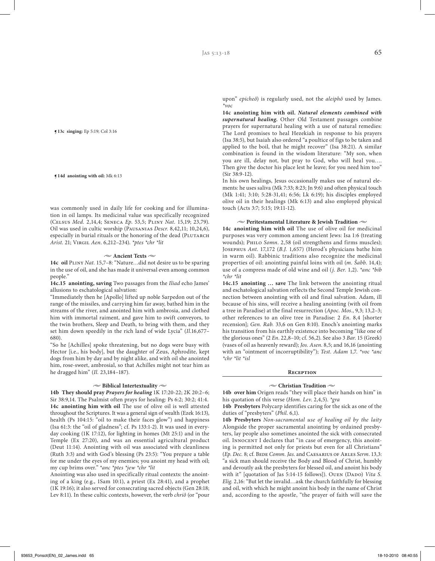**¶13c singing:** Ep 5:19; Col 3:16

**¶14d anointing with oil:** Mk 6:13

was commonly used in daily life for cooking and for illumination in oil lamps. Its medicinal value was specifically recognized (Celsus *Med.* 2,14,4; Seneca *Ep*. 53,5; Pliny *Nat*. 15,19; 23,79). Oil was used in cultic worship (Pausanias *Descr.* 8,42,11; 10,24,6), especially in burial rituals or the honoring of the dead (PLUTARCH *Arist*. 21; Virgil *Aen*. 6,212–234). *\*ptes \*chr \*lit*

#### $\sim$  Ancient Texts  $\sim$

**14c oil** Pliny *Nat.* 15,7–8: "Nature…did not desire us to be sparing in the use of oil, and she has made it universal even among common people."

**14c.15 anointing, saving** Two passages from the *Iliad* echo James' allusions to eschatological salvation:

"Immediately then he [Apollo] lifted up noble Sarpedon out of the range of the missiles, and carrying him far away, bathed him in the streams of the river, and anointed him with ambrosia, and clothed him with immortal raiment, and gave him to swift conveyors, to the twin brothers, Sleep and Death, to bring with them, and they set him down speedily in the rich land of wide Lycia" (*Il*.16,677– 680).

"So he [Achilles] spoke threatening, but no dogs were busy with Hector [i.e., his body], but the daughter of Zeus, Aphrodite, kept dogs from him by day and by night alike, and with oil she anointed him, rose-sweet, ambrosial, so that Achilles might not tear him as he dragged him" (*Il*. 23,184–187).

#### **• Biblical Intertextuality •**

**14b They should pray** *Prayers for healing* 1K 17:20-22; 2K 20:2–6; Sir 38:9,14. The Psalmist often prays for healing: Ps 6:2; 30:2; 41:4. **14c anointing him with oil** The use of olive oil is well attested throughout the Scriptures. It was a general sign of wealth (Ezek 16:13), health (Ps 104:15: "oil to make their faces glow") and happiness (Isa 61:3: the "oil of gladness"; cf. Ps 133:1-2). It was used in everyday cooking (1K 17:12), for lighting in homes (Mt 25:1) and in the Temple (Ex 27:20), and was an essential agricultural product (Deut 11:14). Anointing with oil was associated with cleanliness (Ruth 3:3) and with God's blessing (Ps 23:5): "You prepare a table for me under the eyes of my enemies; you anoint my head with oil; my cup brims over." \**anc \*ptes \*jew \*chr \*lit*

Anointing was also used in specifically ritual contexts: the anointing of a king (e.g., 1Sam 10:1), a priest (Ex 28:41), and a prophet (1K 19:16); it also served for consecrating sacred objects (Gen 28:18; Lev 8:11). In these cultic contexts, however, the verb *chriô* (or "pour upon" *epicheô*) is regularly used, not the *aleiphô* used by James. *\*voc*

**14c anointing him with oil.** *Natural elements combined with supernatural healing.* Other Old Testament passages combine prayers for supernatural healing with a use of natural remedies: The Lord promises to heal Hezekiah in response to his prayers (Isa 38:5), but Isaiah also ordered "a poultice of figs to be taken and applied to the boil, that he might recover" (Isa 38:21). A similar combination is found in the wisdom literature: "My son, when you are ill, delay not, but pray to God, who will heal you…. Then give the doctor his place lest he leave; for you need him too" (Sir 38:9-12).

In his own healings, Jesus occasionally makes use of natural elements: he uses saliva (Mk 7:33; 8:23; Jn 9:6) and often physical touch (Mk 1:41; 3:10; 5:28-31,41; 6:56; Lk 6:19); his disciples employed olive oil in their healings (Mk 6:13) and also employed physical touch (Acts 3:7; 5:15; 19:11-12).

# **• Peritestamental Literature & Jewish Tradition •**

**14c anointing him with oil** The use of olive oil for medicinal purposes was very common among ancient Jews: Isa 1:6 (treating wounds); Philo *Somn*. 2,58 (oil strengthens and firms muscles); Josephus *Ant*. 17,172 (*B.J.* 1,657) (Herod's physicians bathe him in warm oil). Rabbinic traditions also recognize the medicinal properties of oil: anointing painful loins with oil (*m. Šabb*. 14,4); use of a compress made of old wine and oil (*j. Ber.* 1,2). *\*anc \*bib \*chr \*lit*

**14c.15 anointing … save** The link between the anointing ritual and eschatological salvation reflects the Second Temple Jewish connection between anointing with oil and final salvation. Adam, ill because of his sins, will receive a healing anointing (with oil from a tree in Paradise) at the final resurrection (*Apoc. Mos.*, 9,3; 13,2–3; other references to an olive tree in Paradise: 2 *En*. 8,4 [shorter recension]; *Gen. Rab.* 33,6 on Gen 8:10). Enoch's anointing marks his transition from his earthly existence into becoming "like one of the glorious ones" (2 *En*. 22,8–10; cf. 56,2). See also 3 *Bar*. 15 (Greek) (vases of oil as heavenly reward); *Jos. Asen*. 8,5; and 16,16 (anointing with an "ointment of incorruptibility"); *Test. Adam* 1,7. *\*voc \*anc \*chr \*lit \*isl*

#### **Reception**

#### **• Christian Tradition •**

**14b over him** Origen reads "they will place their hands on him" in his quotation of this verse (*Hom. Lev*. 2,4,5). *\*gra*

**14b Presbyters** Polycarp identifies caring for the sick as one of the duties of "presbyters" (*Phil*. 6,1).

**14b Presbyters** *Non-sacramental use of healing oil by the laity* Alongside the proper sacramental anointing by ordained presbyters, lay people also sometimes anointed the sick with consecrated oil. INNOCENT I declares that "in case of emergency, this anointing is permitted not only for priests but even for all Christians" (*Ep. Dec.* 8; cf. Bede *Comm. Jas.* and Caesarius of Arles *Serm*. 13,3: "a sick man should receive the Body and Blood of Christ, humbly and devoutly ask the presbyters for blessed oil, and anoint his body with it" [quotation of Jas 5:14-15 follows]). OUEN (DADO) Vita S. *Elig.* 2,16: "But let the invalid…ask the church faithfully for blessing and oil, with which he might anoint his body in the name of Christ and, according to the apostle, "the prayer of faith will save the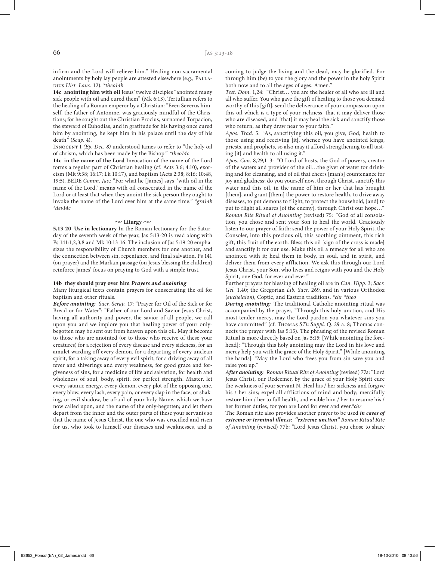infirm and the Lord will relieve him." Healing non-sacramental anointments by holy lay people are attested elsewhere (e.g., PALLAdius *Hist. Laus.* 12). *\*theo14b*

**14c anointing him with oil** Jesus' twelve disciples "anointed many sick people with oil and cured them" (Mk 6:13). Tertullian refers to the healing of a Roman emperor by a Christian: "Even Severus himself, the father of Antonine, was graciously mindful of the Christians; for he sought out the Christian Proclus, surnamed Torpacion, the steward of Euhodias, and in gratitude for his having once cured him by anointing, he kept him in his palace until the day of his death" (*Scap*. 4).

Innocent I *(Ep. Dec. 8)* understood James to refer to "the holy oil of chrism, which has been made by the Bishop." *\*theo14c*

**14c in the name of the Lord** Invocation of the name of the Lord forms a regular part of Christian healing (cf. Acts 3:6; 4:10), exorcism (Mk 9:38; 16:17; Lk 10:17), and baptism (Acts 2:38; 8:16; 10:48, 19:5). BEDE *Comm. Jas*.: "For what he [James] says, 'with oil in the name of the Lord,' means with oil consecrated in the name of the Lord or at least that when they anoint the sick person they ought to invoke the name of the Lord over him at the same time." *\*gra14b \*dev14c*

#### $\sim$  Liturgy  $\sim$

**5,13-20 Use in lectionary** In the Roman lectionary for the Saturday of the seventh week of the year, Jas 5:13-20 is read along with Ps 141:1,2,3,8 and Mk 10:13-16. The inclusion of Jas 5:19-20 emphasizes the responsibility of Church members for one another, and the connection between sin, repentance, and final salvation. Ps 141 (on prayer) and the Markan passage (on Jesus blessing the children) reinforce James' focus on praying to God with a simple trust.

# **14b they should pray over him** *Prayers and anointing*

Many liturgical texts contain prayers for consecrating the oil for baptism and other rituals.

*Before anointing: Sacr. Serap.* 17: "Prayer for Oil of the Sick or for Bread or for Water": "Father of our Lord and Savior Jesus Christ, having all authority and power, the savior of all people, we call upon you and we implore you that healing power of your onlybegotten may be sent out from heaven upon this oil. May it become to those who are anointed (or to those who receive of these your creatures) for a rejection of every disease and every sickness, for an amulet warding off every demon, for a departing of every unclean spirit, for a taking away of every evil spirit, for a driving away of all fever and shiverings and every weakness, for good grace and forgiveness of sins, for a medicine of life and salvation, for health and wholeness of soul, body, spirit, for perfect strength. Master, let every satanic energy, every demon, every plot of the opposing one, every blow, every lash, every pain, or every slap in the face, or shaking, or evil shadow, be afraid of your holy Name, which we have now called upon, and the name of the only-begotten; and let them depart from the inner and the outer parts of these your servants so that the name of Jesus Christ, the one who was crucified and risen for us, who took to himself our diseases and weaknesses, and is coming to judge the living and the dead, may be glorified. For through him (be) to you the glory and the power in the holy Spirit both now and to all the ages of ages. Amen."

*Test. Dom.* 1,24: "Christ… you are the healer of all who are ill and all who suffer. You who gave the gift of healing to those you deemed worthy of this [gift], send the deliverance of your compassion upon this oil which is a type of your richness, that it may deliver those who are diseased, and [that] it may heal the sick and sanctify those who return, as they draw near to your faith."

*Apos. Trad.* 5: "As, sanctifying this oil, you give, God, health to those using and receiving [it], whence you have anointed kings, priests, and prophets, so also may it afford strengthening to all tasting [it] and health to all using it."

*Apos. Con.* 8,29,1–3: "O Lord of hosts, the God of powers, creator of the waters and provider of the oil…the giver of water for drinking and for cleansing, and of oil that cheers [man's] countenance for joy and gladness; do you yourself now, through Christ, sanctify this water and this oil, in the name of him or her that has brought [them], and grant [them] the power to restore health, to drive away diseases, to put demons to flight, to protect the household, [and] to put to flight all snares [of the enemy], through Christ our hope…" *Roman Rite Ritual of Anointing* (revised) 75: "God of all consolation, you chose and sent your Son to heal the world. Graciously listen to our prayer of faith: send the power of your Holy Spirit, the Consoler, into this precious oil, this soothing ointment, this rich gift, this fruit of the earth. Bless this oil [sign of the cross is made] and sanctify it for our use. Make this oil a remedy for all who are anointed with it; heal them in body, in soul, and in spirit, and deliver them from every affliction. We ask this through our Lord Jesus Christ, your Son, who lives and reigns with you and the Holy Spirit, one God, for ever and ever."

Further prayers for blessing of healing oil are in *Can. Hipp.* 3; *Sacr. Gel.* 1.40; the Gregorian *Lib. Sacr.* 269, and in various Orthodox (*euchelaion*), Coptic, and Eastern traditions. *\*chr \*theo*

*During anointing:* The traditional Catholic anointing ritual was accompanied by the prayer, "Through this holy unction, and His most tender mercy, may the Lord pardon you whatever sins you have committed" (cf. Thomas *STh Suppl*. Q. 29 a. 8; Thomas connects the prayer with Jas 5:15). The phrasing of the revised Roman Ritual is more directly based on Jas 5:15: [While anointing the forehead]: "Through this holy anointing may the Lord in his love and mercy help you with the grace of the Holy Spirit." [While anointing the hands]: "May the Lord who frees you from sin save you and raise you up."

*After anointing: Roman Ritual Rite of Anointing* (revised) 77a: "Lord Jesus Christ, our Redeemer, by the grace of your Holy Spirit cure the weakness of your servant N. Heal his / her sickness and forgive his / her sins; expel all afflictions of mind and body; mercifully restore him / her to full health, and enable him / her to resume his / her former duties, for you are Lord for ever and ever.*\*chr*

The Roman rite also provides another prayer to be used *in cases of extreme or terminal illness*: *"extreme unction" Roman Ritual Rite of Anointing* (revised) 77b: "Lord Jesus Christ, you chose to share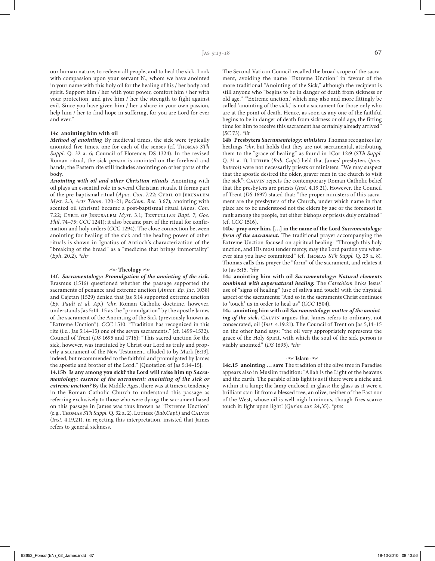our human nature, to redeem all people, and to heal the sick. Look with compassion upon your servant N., whom we have anointed in your name with this holy oil for the healing of his / her body and spirit. Support him / her with your power, comfort him / her with your protection, and give him / her the strength to fight against evil. Since you have given him / her a share in your own passion, help him / her to find hope in suffering, for you are Lord for ever and ever."

# **14c anointing him with oil**

*Method of anointing* By medieval times, the sick were typically anointed five times, one for each of the senses (cf. Thomas *STh Suppl*. Q. 32 a. 6; Council of Florence; DS 1324). In the revised Roman ritual, the sick person is anointed on the forehead and hands; the Eastern rite still includes anointing on other parts of the body.

*Anointing with oil and other Christian rituals* Anointing with oil plays an essential role in several Christian rituals. It forms part of the pre-baptismal ritual (*Apos. Con*. 7.22; Cyril of Jerusalem *Myst.* 2.3; *Acts Thom*. 120–21; *Ps.Clem. Rec*. 3.67); anointing with scented oil (chrism) became a post-baptismal ritual (*Apos. Con.* 7.22; Cyril of Jerusalem *Myst.* 3.1; Tertullian *Bapt*. 7; *Gos. Phil*. 74–75; *CCC* 1241); it also became part of the ritual for confirmation and holy orders (*CCC* 1294). The close connection between anointing for healing of the sick and the healing power of other rituals is shown in Ignatius of Antioch's characterization of the "breaking of the bread" as a "medicine that brings immortality" (*Eph*. 20.2). *\*chr*

#### $\sim$  Theology  $\sim$

**14f.** *Sacramentology***:** *Promulgation of the anointing of the sick.* Erasmus (1516) questioned whether the passage supported the sacraments of penance and extreme unction (*Annot. Ep. Jac*. 1038) and Cajetan (1529) denied that Jas 5:14 supported extreme unction (*Ep. Pauli et al. Ap*.) *\*chr*. Roman Catholic doctrine, however, understands Jas 5:14–15 as the "promulgation" by the apostle James of the sacrament of the Anointing of the Sick (previously known as "Extreme Unction"). *CCC* 1510: "Tradition has recognized in this rite (i.e., Jas 5:14–15) one of the seven sacraments." (cf. 1499–1532). Council of Trent (*DS* 1695 and 1716): "This sacred unction for the sick, however, was instituted by Christ our Lord as truly and properly a sacrament of the New Testament, alluded to by Mark [6:13], indeed, but recommended to the faithful and promulgated by James the apostle and brother of the Lord." [Quotation of Jas 5:14–15].

**14.15b Is any among you sick? the Lord will raise him up** *Sacramentology: essence of the sacrament: anointing of the sick or extreme unction?* By the Middle Ages, there was at times a tendency in the Roman Catholic Church to understand this passage as referring exclusively to those who were dying; the sacrament based on this passage in James was thus known as "Extreme Unction" (e.g., Thomas *STh Suppl*. Q. 32 a. 2). Luther (*Bab.Capt*.) and Calvin (*Inst*. 4,19,21), in rejecting this interpretation, insisted that James refers to general sickness.

The Second Vatican Council recalled the broad scope of the sacrament, avoiding the name "Extreme Unction" in favour of the more traditional "Anointing of the Sick," although the recipient is still anyone who "begins to be in danger of death from sickness or old age." "'Extreme unction,' which may also and more fittingly be called 'anointing of the sick,' is not a sacrament for those only who are at the point of death. Hence, as soon as any one of the faithful begins to be in danger of death from sickness or old age, the fitting time for him to receive this sacrament has certainly already arrived" (*SC* 73). *\*lit*

**14b Presbyters** *Sacramentology: ministers* Thomas recognizes lay healings *\*chr*, but holds that they are not sacramental, attributing them to the "grace of healing" as found in 1Cor 12:9 (*STh Suppl*. Q. 31 a. 1). Luther (*Bab. Capt*.) held that James' presbyters (*presbuteroi*) were not necessarily priests or ministers: "We may suspect that the apostle desired the older, graver men in the church to visit the sick"; Calvin rejects the contemporary Roman Catholic belief that the presbyters are priests (*Inst*. 4,19,21). However, the Council of Trent (*DS* 1697) stated that: "the proper ministers of this sacrament are the presbyters of the Church, under which name in that place are to be understood not the elders by age or the foremost in rank among the people, but either bishops or priests duly ordained" (cf. *CCC* 1516).

**14bc pray over him, […] in the name of the Lord** *Sacramentology: form of the sacrament.* The traditional prayer accompanying the Extreme Unction focused on spiritual healing: "Through this holy unction, and His most tender mercy, may the Lord pardon you whatever sins you have committed" (cf. Thomas *STh Suppl.* Q. 29 a. 8). Thomas calls this prayer the "form" of the sacrament, and relates it to Jas 5:15. *\*chr*

**14c anointing him with oil** *Sacramentology***:** *Natural elements combined with supernatural healing.* The *Catechism* links Jesus' use of "signs of healing" (use of saliva and touch) with the physical aspect of the sacraments: "And so in the sacraments Christ continues to 'touch' us in order to heal us" (*CCC* 1504).

**14c anointing him with oil** *Sacramentology: matter of the anoint*ing of the sick. CALVIN argues that James refers to ordinary, not consecrated, oil (*Inst*. 4.19.21). The Council of Trent on Jas 5,14–15 on the other hand says: "the oil very appropriately represents the grace of the Holy Spirit, with which the soul of the sick person is visibly anointed" (*DS* 1695). *\*chr*

#### $\sim$  Islam  $\sim$

**14c.15 anointing … save** The tradition of the olive tree in Paradise appears also in Muslim tradition: "Allah is the Light of the heavens and the earth. The parable of his light is as if there were a niche and within it a lamp; the lamp enclosed in glass: the glass as it were a brilliant star: lit from a blessed tree, an olive, neither of the East nor of the West, whose oil is well-nigh luminous, though fires scarce touch it: light upon light! (*Qur'an sur*. 24,35). *\*ptes*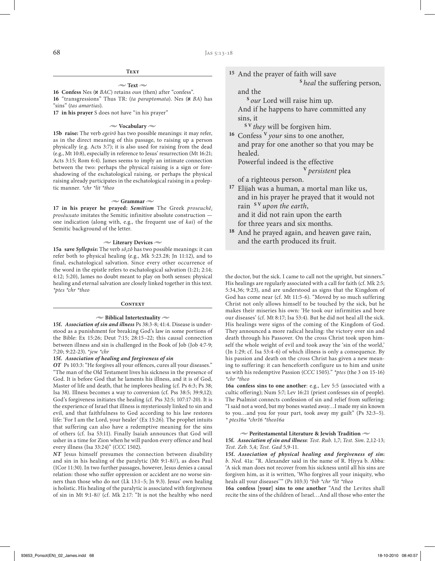## $\sim$  Text  $\sim$

**16 Confess** Nes (a *BAC*) retains *oun* (then) after "confess". **16** "transgressions" Thus TR: (*ta paraptomata*). Nes (a *BA*) has "sins" (*tas amartias*).

**17 in his prayer** S does not have "in his prayer"

#### **• Vocabulary •**

**15b raise:** The verb *egeirô* has two possible meanings: it may refer, as in the direct meaning of this passage, to raising up a person physically (e.g. Acts 3:7); it is also used for raising from the dead (e.g., Mt 10:8), especially in reference to Jesus' resurrection (Mt 16:21; Acts 3:15; Rom 6:4). James seems to imply an intimate connection between the two: perhaps the physical raising is a sign or foreshadowing of the eschatological raising, or perhaps the physical raising already participates in the eschatological raising in a proleptic manner. *\*chr \*lit \*theo*

## $\approx$  Grammar  $\approx$

**17 in his prayer he prayed:** *Semitism* The Greek *proseuchêi prosêuxato* imitates the Semitic infinitive absolute construction one indication (along with, e.g., the frequent use of *kai*) of the Semitic background of the letter.

# **• Literary Devices •**

**15a save** *Syllepsis***:** The verb *sôi zô* has two possible meanings: it can refer both to physical healing (e.g., Mk 5:23.28; Jn 11:12), and to final, eschatological salvation. Since every other occurrence of the word in the epistle refers to eschatological salvation (1:21; 2:14; 4:12; 5:20), James no doubt meant to play on both senses: physical healing and eternal salvation are closely linked together in this text. *\*ptes \*chr \*theo*

## **Context**

# $\sim$  Biblical Intertextuality  $\sim$

**15f.** *Association of sin and illness* Ps 38:3-8; 41:4. Disease is understood as a punishment for breaking God's law in some portions of the Bible: Ex 15:26; Deut 7:15; 28:15–22; this causal connection between illness and sin is challenged in the Book of Job (Job 4:7-9; 7:20; 9:22-23). \**jew \*chr*

# **15f.** *Association of healing and forgiveness of sin*

*OT* Ps 103:3: "He forgives all your offences, cures all your diseases." "The man of the Old Testament lives his sickness in the presence of God. It is before God that he laments his illness, and it is of God, Master of life and death, that he implores healing (cf. Ps 6:3; Ps 38; Isa 38). Illness becomes a way to conversion (cf. Pss 38:5; 39:9,12); God's forgiveness initiates the healing (cf. Pss 32:5; 107:17-20). It is the experience of Israel that illness is mysteriously linked to sin and evil, and that faithfulness to God according to his law restores life: 'For I am the Lord, your healer' (Ex 15:26). The prophet intuits that suffering can also have a redemptive meaning for the sins of others (cf. Isa 53:11). Finally Isaiah announces that God will usher in a time for Zion when he will pardon every offence and heal every illness (Isa 33:24)" (*CCC* 1502).

*NT* Jesus himself presumes the connection between disability and sin in his healing of the paralytic (Mt 9:1-8//), as does Paul (1Cor 11:30). In two further passages, however, Jesus denies a causal relation: those who suffer oppression or accident are no worse sinners than those who do not (Lk 13:1–5; Jn 9:3). Jesus' own healing is holistic. His healing of the paralytic is associated with forgiveness of sin in Mt 9:1-8// (cf. Mk 2:17: "It is not the healthy who need **<sup>15</sup>** And the prayer of faith will save **<sup>S</sup>***heal* the suffering person,

and the

**<sup>S</sup>***our* Lord will raise him up.

And if he happens to have committed any sins, it

**S V** *they* will be forgiven him.

**<sup>16</sup>** Confess **<sup>V</sup>***your* sins to one another, and pray for one another so that you may be healed.

Powerful indeed is the effective

**<sup>V</sup>***persistent* plea

of a righteous person.

**<sup>17</sup>** Elijah was a human, a mortal man like us, and in his prayer he prayed that it would not rain **S V** *upon the earth*, and it did not rain upon the earth

for three years and six months.

**<sup>18</sup>** And he prayed again, and heaven gave rain, and the earth produced its fruit.

the doctor, but the sick. I came to call not the upright, but sinners." His healings are regularly associated with a call for faith (cf. Mk 2:5; 5:34,36; 9:23), and are understood as signs that the Kingdom of God has come near (cf. Mt 11:5-6). "Moved by so much suffering Christ not only allows himself to be touched by the sick, but he makes their miseries his own: 'He took our infirmities and bore our diseases' (cf. Mt 8:17; Isa 53:4). But he did not heal all the sick. His healings were signs of the coming of the Kingdom of God. They announced a more radical healing: the victory over sin and death through his Passover. On the cross Christ took upon himself the whole weight of evil and took away the 'sin of the world,' (Jn 1:29; cf. Isa 53:4-6) of which illness is only a consequence. By his passion and death on the cross Christ has given a new meaning to suffering: it can henceforth configure us to him and unite us with his redemptive Passion (*CCC* 1505)." *\*ptes* (the 3 on 15-16) *\*chr \*theo*

**16a confess sins to one another**: e.g., Lev 5:5 (associated with a cultic offering); Num 5:7; Lev 16:21 (priest confesses sin of people). The Psalmist connects confession of sin and relief from suffering: "I said not a word, but my bones wasted away…I made my sin known to you…and you for your part, took away my guilt" (Ps 32:3–5). *\* ptes16a \*chr16 \*theo16a*

# $\sim$  Peritestamental Literature & Jewish Tradition  $\sim$

**15f.** *Association of sin and illness*: *Test. Rub.* 1,7; *Test. Sim*. 2,12-13; *Test. Zeb*. 5,4; *Test. Gad* 5,9-11.

**15f.** *Association of physical healing and forgiveness of sin***:** *b. Ned*. 41a: "R. Alexander said in the name of R. Hiyya b. Abba: 'A sick man does not recover from his sickness until all his sins are forgiven him, as it is written, 'Who forgives all your iniquity, who heals all your diseases''" (Ps 103:3) *\*bib \*chr \*lit \*theo*

**16a confess [your] sins to one another** "And the Levites shall recite the sins of the children of Israel…And all those who enter the